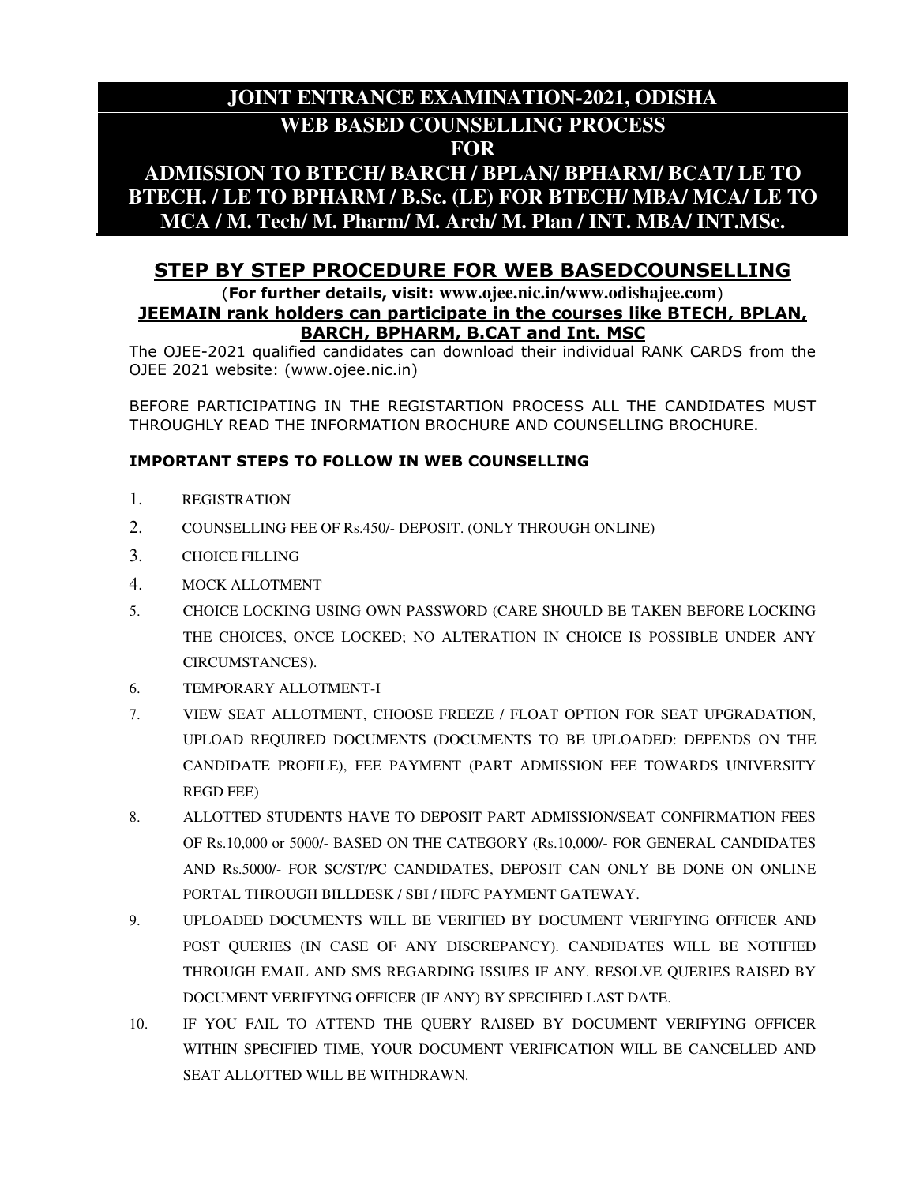# **JOINT ENTRANCE EXAMINATION-2021, ODISHA WEB BASED COUNSELLING PROCESS FOR**

## **ADMISSION TO BTECH/ BARCH / BPLAN/ BPHARM/ BCAT/ LE TO BTECH. / LE TO BPHARM / B.Sc. (LE) FOR BTECH/ MBA/ MCA/ LE TO MCA / M. Tech/ M. Pharm/ M. Arch/ M. Plan / INT. MBA/ INT.MSc.**

## **STEP BY STEP PROCEDURE FOR WEB BASEDCOUNSELLING**

#### (**For further details, visit: www.ojee.nic.in/www.odishajee.com**) **JEEMAIN rank holders can participate in the courses like BTECH, BPLAN, BARCH, BPHARM, B.CAT and Int. MSC**

The OJEE-2021 qualified candidates can download their individual RANK CARDS from the OJEE 2021 website: (www.ojee.nic.in)

BEFORE PARTICIPATING IN THE REGISTARTION PROCESS ALL THE CANDIDATES MUST THROUGHLY READ THE INFORMATION BROCHURE AND COUNSELLING BROCHURE.

#### **IMPORTANT STEPS TO FOLLOW IN WEB COUNSELLING**

- 1. REGISTRATION
- 2. COUNSELLING FEE OF Rs.450/- DEPOSIT. (ONLY THROUGH ONLINE)
- 3. CHOICE FILLING
- 4. MOCK ALLOTMENT
- 5. CHOICE LOCKING USING OWN PASSWORD (CARE SHOULD BE TAKEN BEFORE LOCKING THE CHOICES, ONCE LOCKED; NO ALTERATION IN CHOICE IS POSSIBLE UNDER ANY CIRCUMSTANCES).
- 6. TEMPORARY ALLOTMENT-I
- 7. VIEW SEAT ALLOTMENT, CHOOSE FREEZE / FLOAT OPTION FOR SEAT UPGRADATION, UPLOAD REQUIRED DOCUMENTS (DOCUMENTS TO BE UPLOADED: DEPENDS ON THE CANDIDATE PROFILE), FEE PAYMENT (PART ADMISSION FEE TOWARDS UNIVERSITY REGD FEE)
- 8. ALLOTTED STUDENTS HAVE TO DEPOSIT PART ADMISSION/SEAT CONFIRMATION FEES OF Rs.10,000 or 5000/- BASED ON THE CATEGORY (Rs.10,000/- FOR GENERAL CANDIDATES AND Rs.5000/- FOR SC/ST/PC CANDIDATES, DEPOSIT CAN ONLY BE DONE ON ONLINE PORTAL THROUGH BILLDESK / SBI / HDFC PAYMENT GATEWAY.
- 9. UPLOADED DOCUMENTS WILL BE VERIFIED BY DOCUMENT VERIFYING OFFICER AND POST QUERIES (IN CASE OF ANY DISCREPANCY). CANDIDATES WILL BE NOTIFIED THROUGH EMAIL AND SMS REGARDING ISSUES IF ANY. RESOLVE QUERIES RAISED BY DOCUMENT VERIFYING OFFICER (IF ANY) BY SPECIFIED LAST DATE.
- 10. IF YOU FAIL TO ATTEND THE QUERY RAISED BY DOCUMENT VERIFYING OFFICER WITHIN SPECIFIED TIME, YOUR DOCUMENT VERIFICATION WILL BE CANCELLED AND SEAT ALLOTTED WILL BE WITHDRAWN.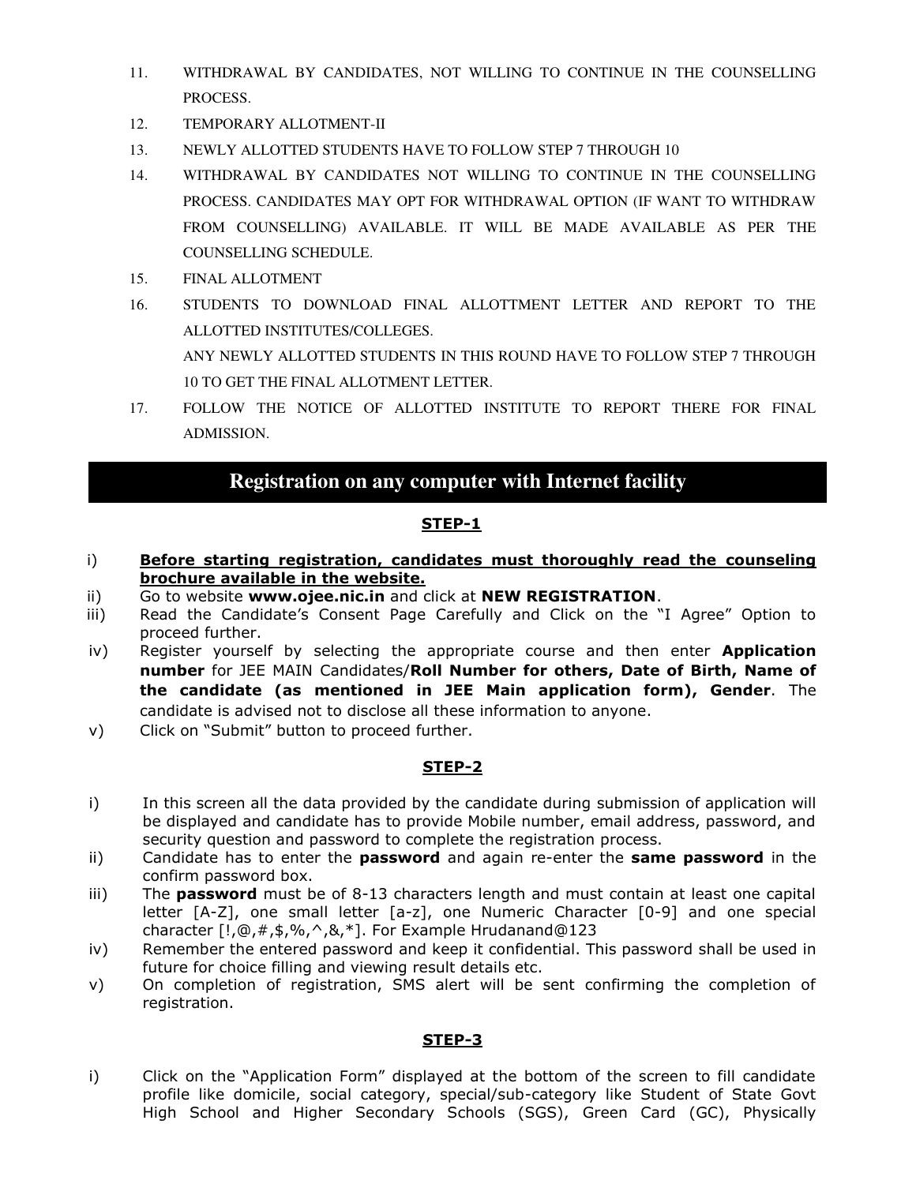- 11. WITHDRAWAL BY CANDIDATES, NOT WILLING TO CONTINUE IN THE COUNSELLING PROCESS.
- 12. TEMPORARY ALLOTMENT-II
- 13. NEWLY ALLOTTED STUDENTS HAVE TO FOLLOW STEP 7 THROUGH 10
- 14. WITHDRAWAL BY CANDIDATES NOT WILLING TO CONTINUE IN THE COUNSELLING PROCESS. CANDIDATES MAY OPT FOR WITHDRAWAL OPTION (IF WANT TO WITHDRAW FROM COUNSELLING) AVAILABLE. IT WILL BE MADE AVAILABLE AS PER THE COUNSELLING SCHEDULE.
- 15. FINAL ALLOTMENT
- 16. STUDENTS TO DOWNLOAD FINAL ALLOTTMENT LETTER AND REPORT TO THE ALLOTTED INSTITUTES/COLLEGES. ANY NEWLY ALLOTTED STUDENTS IN THIS ROUND HAVE TO FOLLOW STEP 7 THROUGH 10 TO GET THE FINAL ALLOTMENT LETTER.
- 17. FOLLOW THE NOTICE OF ALLOTTED INSTITUTE TO REPORT THERE FOR FINAL ADMISSION.

## **Registration on any computer with Internet facility**

#### **STEP-1**

- i) **Before starting registration, candidates must thoroughly read the counseling brochure available in the website.**
- ii) Go to website **www.ojee.nic.in** and click at **NEW REGISTRATION**.
- iii) Read the Candidate's Consent Page Carefully and Click on the "I Agree" Option to proceed further.
- iv) Register yourself by selecting the appropriate course and then enter **Application number** for JEE MAIN Candidates/**Roll Number for others, Date of Birth, Name of the candidate (as mentioned in JEE Main application form), Gender**. The candidate is advised not to disclose all these information to anyone.
- v) Click on "Submit" button to proceed further.

#### **STEP-2**

- i) In this screen all the data provided by the candidate during submission of application will be displayed and candidate has to provide Mobile number, email address, password, and security question and password to complete the registration process.
- ii) Candidate has to enter the **password** and again re-enter the **same password** in the confirm password box.
- iii) The **password** must be of 8-13 characters length and must contain at least one capital letter [A-Z], one small letter [a-z], one Numeric Character [0-9] and one special character [!,@,#,\$,%,^,&,\*]. For Example Hrudanand@123
- iv) Remember the entered password and keep it confidential. This password shall be used in future for choice filling and viewing result details etc.
- v) On completion of registration, SMS alert will be sent confirming the completion of registration.

#### **STEP-3**

i) Click on the "Application Form" displayed at the bottom of the screen to fill candidate profile like domicile, social category, special/sub-category like Student of State Govt High School and Higher Secondary Schools (SGS), Green Card (GC), Physically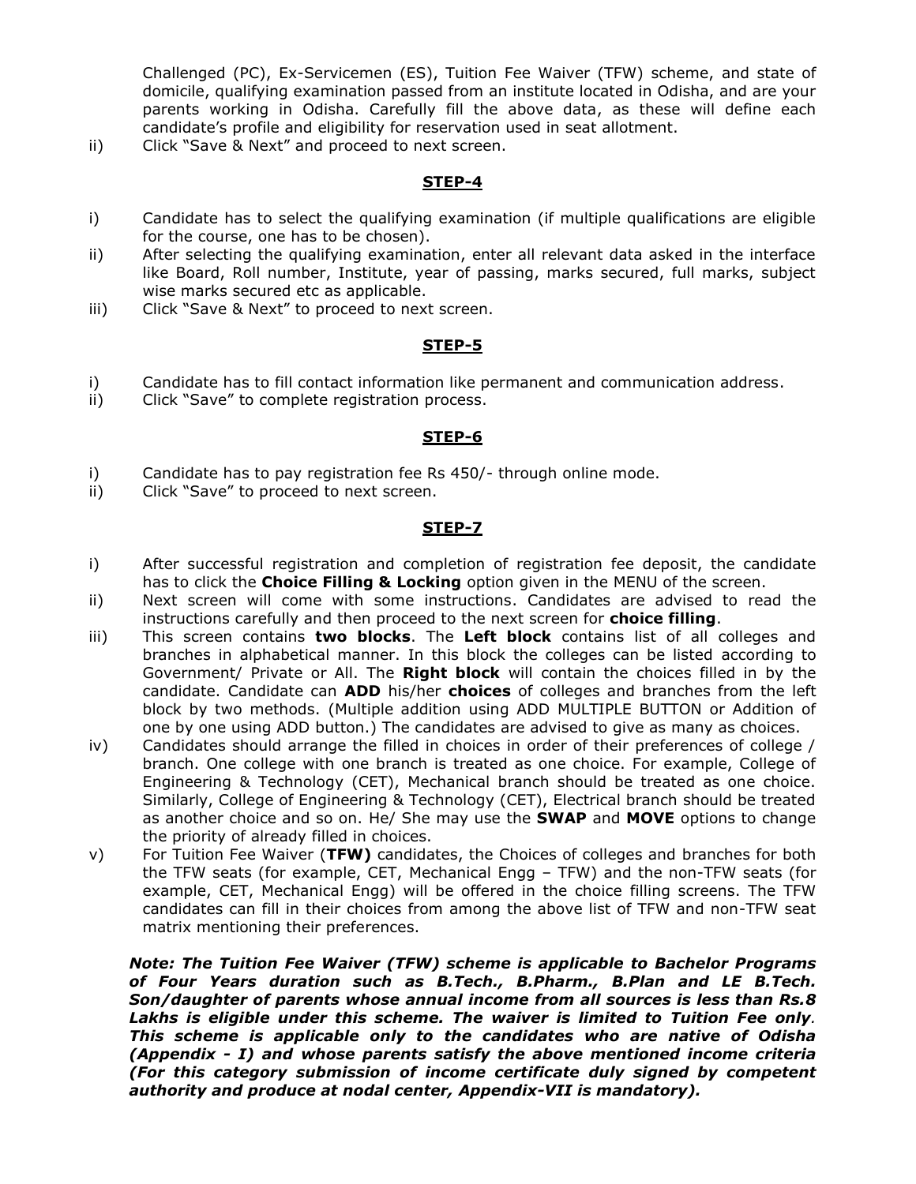Challenged (PC), Ex-Servicemen (ES), Tuition Fee Waiver (TFW) scheme, and state of domicile, qualifying examination passed from an institute located in Odisha, and are your parents working in Odisha. Carefully fill the above data, as these will define each candidate's profile and eligibility for reservation used in seat allotment.

ii) Click "Save & Next" and proceed to next screen.

#### **STEP-4**

- i) Candidate has to select the qualifying examination (if multiple qualifications are eligible for the course, one has to be chosen).
- ii) After selecting the qualifying examination, enter all relevant data asked in the interface like Board, Roll number, Institute, year of passing, marks secured, full marks, subject wise marks secured etc as applicable.
- iii) Click "Save & Next" to proceed to next screen.

#### **STEP-5**

- i) Candidate has to fill contact information like permanent and communication address.
- ii) Click "Save" to complete registration process.

#### **STEP-6**

- i) Candidate has to pay registration fee Rs 450/- through online mode.
- ii) Click "Save" to proceed to next screen.

#### **STEP-7**

- i) After successful registration and completion of registration fee deposit, the candidate has to click the **Choice Filling & Locking** option given in the MENU of the screen.
- ii) Next screen will come with some instructions. Candidates are advised to read the instructions carefully and then proceed to the next screen for **choice filling**.
- iii) This screen contains **two blocks**. The **Left block** contains list of all colleges and branches in alphabetical manner. In this block the colleges can be listed according to Government/ Private or All. The **Right block** will contain the choices filled in by the candidate. Candidate can **ADD** his/her **choices** of colleges and branches from the left block by two methods. (Multiple addition using ADD MULTIPLE BUTTON or Addition of one by one using ADD button.) The candidates are advised to give as many as choices.
- iv) Candidates should arrange the filled in choices in order of their preferences of college / branch. One college with one branch is treated as one choice. For example, College of Engineering & Technology (CET), Mechanical branch should be treated as one choice. Similarly, College of Engineering & Technology (CET), Electrical branch should be treated as another choice and so on. He/ She may use the **SWAP** and **MOVE** options to change the priority of already filled in choices.
- v) For Tuition Fee Waiver (**TFW)** candidates, the Choices of colleges and branches for both the TFW seats (for example, CET, Mechanical Engg – TFW) and the non-TFW seats (for example, CET, Mechanical Engg) will be offered in the choice filling screens. The TFW candidates can fill in their choices from among the above list of TFW and non-TFW seat matrix mentioning their preferences.

*Note: The Tuition Fee Waiver (TFW) scheme is applicable to Bachelor Programs of Four Years duration such as B.Tech., B.Pharm., B.Plan and LE B.Tech. Son/daughter of parents whose annual income from all sources is less than Rs.8 Lakhs is eligible under this scheme. The waiver is limited to Tuition Fee only. This scheme is applicable only to the candidates who are native of Odisha (Appendix - I) and whose parents satisfy the above mentioned income criteria (For this category submission of income certificate duly signed by competent authority and produce at nodal center, Appendix-VII is mandatory).*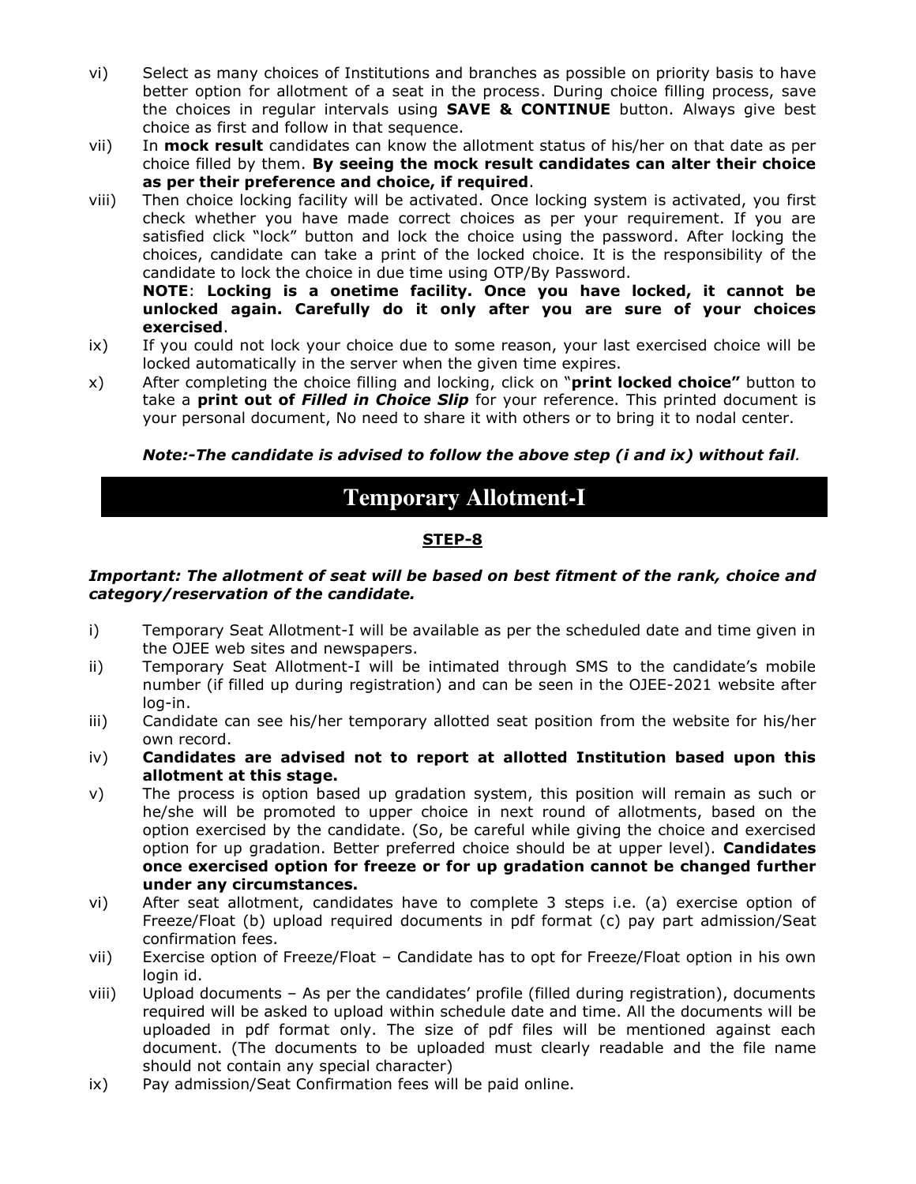- vi) Select as many choices of Institutions and branches as possible on priority basis to have better option for allotment of a seat in the process. During choice filling process, save the choices in regular intervals using **SAVE & CONTINUE** button. Always give best choice as first and follow in that sequence.
- vii) In **mock result** candidates can know the allotment status of his/her on that date as per choice filled by them. **By seeing the mock result candidates can alter their choice as per their preference and choice, if required**.
- viii) Then choice locking facility will be activated. Once locking system is activated, you first check whether you have made correct choices as per your requirement. If you are satisfied click "lock" button and lock the choice using the password. After locking the choices, candidate can take a print of the locked choice. It is the responsibility of the candidate to lock the choice in due time using OTP/By Password.

**NOTE**: **Locking is a onetime facility. Once you have locked, it cannot be unlocked again. Carefully do it only after you are sure of your choices exercised**.

- ix) If you could not lock your choice due to some reason, your last exercised choice will be locked automatically in the server when the given time expires.
- x) After completing the choice filling and locking, click on "**print locked choice"** button to take a **print out of** *Filled in Choice Slip* for your reference. This printed document is your personal document, No need to share it with others or to bring it to nodal center.

#### *Note:-The candidate is advised to follow the above step (i and ix) without fail.*

# **Temporary Allotment-I**

#### **STEP-8**

#### *Important: The allotment of seat will be based on best fitment of the rank, choice and category/reservation of the candidate.*

- i) Temporary Seat Allotment-I will be available as per the scheduled date and time given in the OJEE web sites and newspapers.
- ii) Temporary Seat Allotment-I will be intimated through SMS to the candidate's mobile number (if filled up during registration) and can be seen in the OJEE-2021 website after log-in.
- iii) Candidate can see his/her temporary allotted seat position from the website for his/her own record.
- iv) **Candidates are advised not to report at allotted Institution based upon this allotment at this stage.**
- v) The process is option based up gradation system, this position will remain as such or he/she will be promoted to upper choice in next round of allotments, based on the option exercised by the candidate. (So, be careful while giving the choice and exercised option for up gradation. Better preferred choice should be at upper level). **Candidates once exercised option for freeze or for up gradation cannot be changed further under any circumstances.**
- vi) After seat allotment, candidates have to complete 3 steps i.e. (a) exercise option of Freeze/Float (b) upload required documents in pdf format (c) pay part admission/Seat confirmation fees.
- vii) Exercise option of Freeze/Float Candidate has to opt for Freeze/Float option in his own login id.
- viii) Upload documents As per the candidates' profile (filled during registration), documents required will be asked to upload within schedule date and time. All the documents will be uploaded in pdf format only. The size of pdf files will be mentioned against each document. (The documents to be uploaded must clearly readable and the file name should not contain any special character)
- ix) Pay admission/Seat Confirmation fees will be paid online.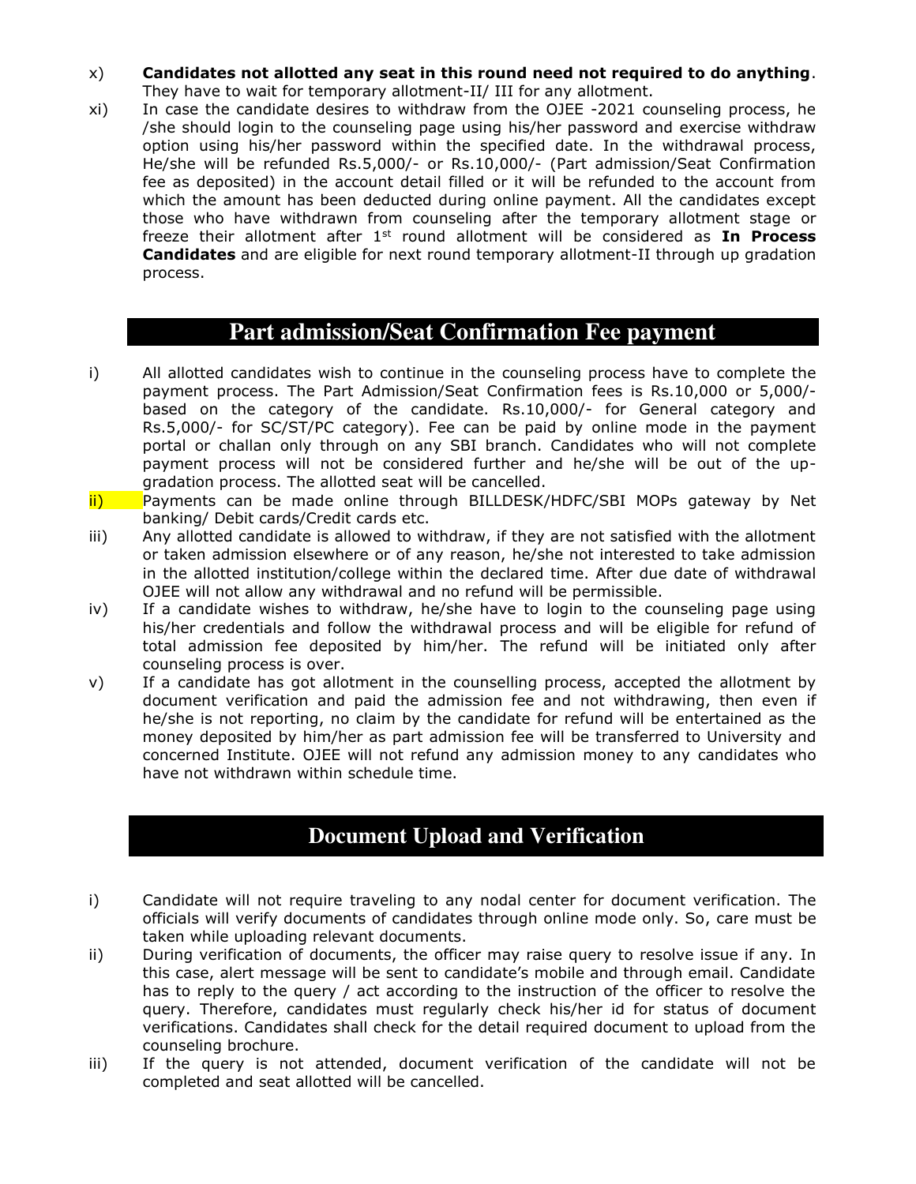- x) **Candidates not allotted any seat in this round need not required to do anything**. They have to wait for temporary allotment-II/ III for any allotment.
- xi) In case the candidate desires to withdraw from the OJEE -2021 counseling process, he /she should login to the counseling page using his/her password and exercise withdraw option using his/her password within the specified date. In the withdrawal process, He/she will be refunded Rs.5,000/- or Rs.10,000/- (Part admission/Seat Confirmation fee as deposited) in the account detail filled or it will be refunded to the account from which the amount has been deducted during online payment. All the candidates except those who have withdrawn from counseling after the temporary allotment stage or freeze their allotment after 1st round allotment will be considered as **In Process Candidates** and are eligible for next round temporary allotment-II through up gradation process.

## **Part admission/Seat Confirmation Fee payment**

- i) All allotted candidates wish to continue in the counseling process have to complete the payment process. The Part Admission/Seat Confirmation fees is Rs.10,000 or 5,000/ based on the category of the candidate. Rs.10,000/- for General category and Rs.5,000/- for SC/ST/PC category). Fee can be paid by online mode in the payment portal or challan only through on any SBI branch. Candidates who will not complete payment process will not be considered further and he/she will be out of the upgradation process. The allotted seat will be cancelled.
- ii) Payments can be made online through BILLDESK/HDFC/SBI MOPs gateway by Net banking/ Debit cards/Credit cards etc.
- iii) Any allotted candidate is allowed to withdraw, if they are not satisfied with the allotment or taken admission elsewhere or of any reason, he/she not interested to take admission in the allotted institution/college within the declared time. After due date of withdrawal OJEE will not allow any withdrawal and no refund will be permissible.
- iv) If a candidate wishes to withdraw, he/she have to login to the counseling page using his/her credentials and follow the withdrawal process and will be eligible for refund of total admission fee deposited by him/her. The refund will be initiated only after counseling process is over.
- v) If a candidate has got allotment in the counselling process, accepted the allotment by document verification and paid the admission fee and not withdrawing, then even if he/she is not reporting, no claim by the candidate for refund will be entertained as the money deposited by him/her as part admission fee will be transferred to University and concerned Institute. OJEE will not refund any admission money to any candidates who have not withdrawn within schedule time.

## **Document Upload and Verification**

- i) Candidate will not require traveling to any nodal center for document verification. The officials will verify documents of candidates through online mode only. So, care must be taken while uploading relevant documents.
- ii) During verification of documents, the officer may raise query to resolve issue if any. In this case, alert message will be sent to candidate's mobile and through email. Candidate has to reply to the query / act according to the instruction of the officer to resolve the query. Therefore, candidates must regularly check his/her id for status of document verifications. Candidates shall check for the detail required document to upload from the counseling brochure.
- iii) If the query is not attended, document verification of the candidate will not be completed and seat allotted will be cancelled.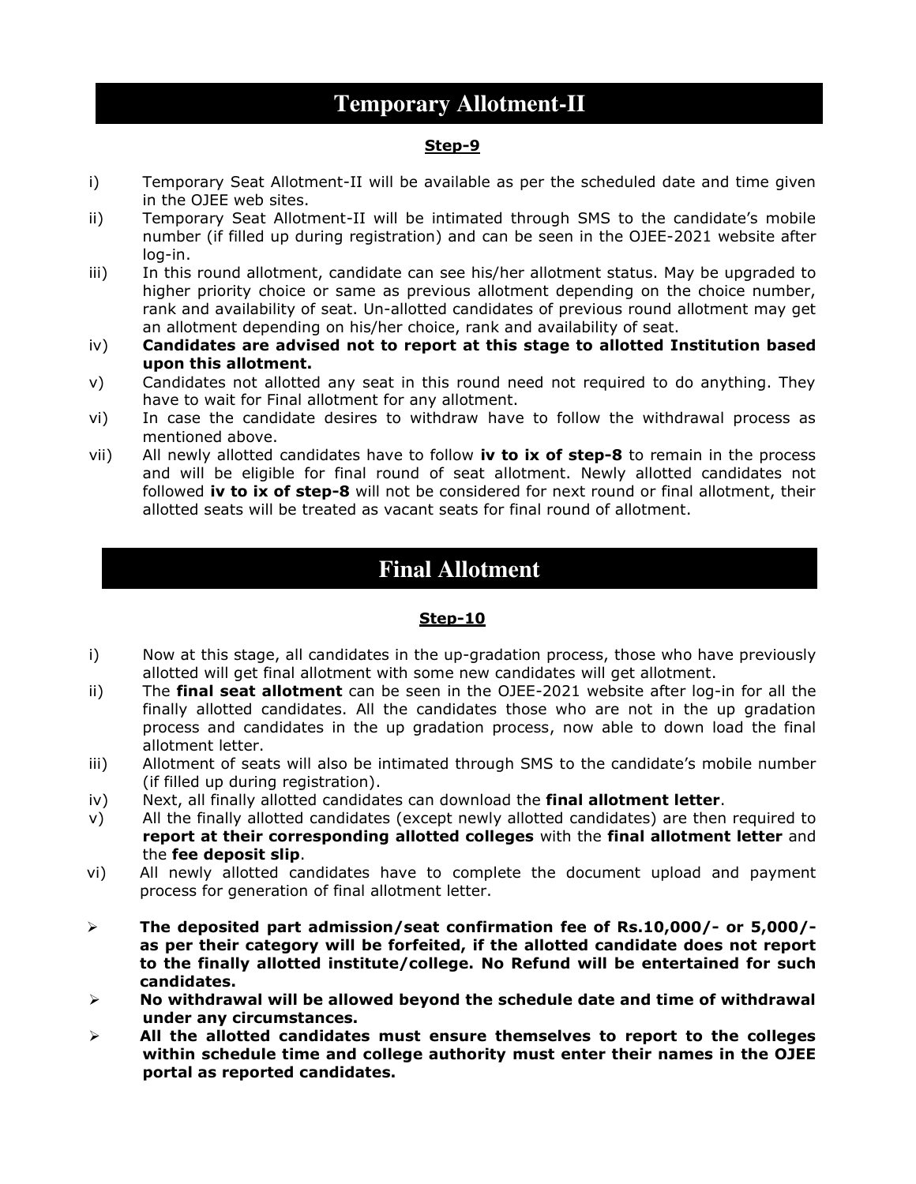# **Temporary Allotment-II**

#### **Step-9**

- i) Temporary Seat Allotment-II will be available as per the scheduled date and time given in the OJEE web sites.
- ii) Temporary Seat Allotment-II will be intimated through SMS to the candidate's mobile number (if filled up during registration) and can be seen in the OJEE-2021 website after log-in.
- iii) In this round allotment, candidate can see his/her allotment status. May be upgraded to higher priority choice or same as previous allotment depending on the choice number, rank and availability of seat. Un-allotted candidates of previous round allotment may get an allotment depending on his/her choice, rank and availability of seat.
- iv) **Candidates are advised not to report at this stage to allotted Institution based upon this allotment.**
- v) Candidates not allotted any seat in this round need not required to do anything. They have to wait for Final allotment for any allotment.
- vi) In case the candidate desires to withdraw have to follow the withdrawal process as mentioned above.
- vii) All newly allotted candidates have to follow **iv to ix of step-8** to remain in the process and will be eligible for final round of seat allotment. Newly allotted candidates not followed **iv to ix of step-8** will not be considered for next round or final allotment, their allotted seats will be treated as vacant seats for final round of allotment.

# **Final Allotment**

#### **Step-10**

- i) Now at this stage, all candidates in the up-gradation process, those who have previously allotted will get final allotment with some new candidates will get allotment.
- ii) The **final seat allotment** can be seen in the OJEE-2021 website after log-in for all the finally allotted candidates. All the candidates those who are not in the up gradation process and candidates in the up gradation process, now able to down load the final allotment letter.
- iii) Allotment of seats will also be intimated through SMS to the candidate's mobile number (if filled up during registration).
- iv) Next, all finally allotted candidates can download the **final allotment letter**.
- v) All the finally allotted candidates (except newly allotted candidates) are then required to **report at their corresponding allotted colleges** with the **final allotment letter** and the **fee deposit slip**.
- vi) All newly allotted candidates have to complete the document upload and payment process for generation of final allotment letter.
- ➢ **The deposited part admission/seat confirmation fee of Rs.10,000/- or 5,000/ as per their category will be forfeited, if the allotted candidate does not report to the finally allotted institute/college. No Refund will be entertained for such candidates.**
- ➢ **No withdrawal will be allowed beyond the schedule date and time of withdrawal under any circumstances.**
- ➢ **All the allotted candidates must ensure themselves to report to the colleges within schedule time and college authority must enter their names in the OJEE portal as reported candidates.**